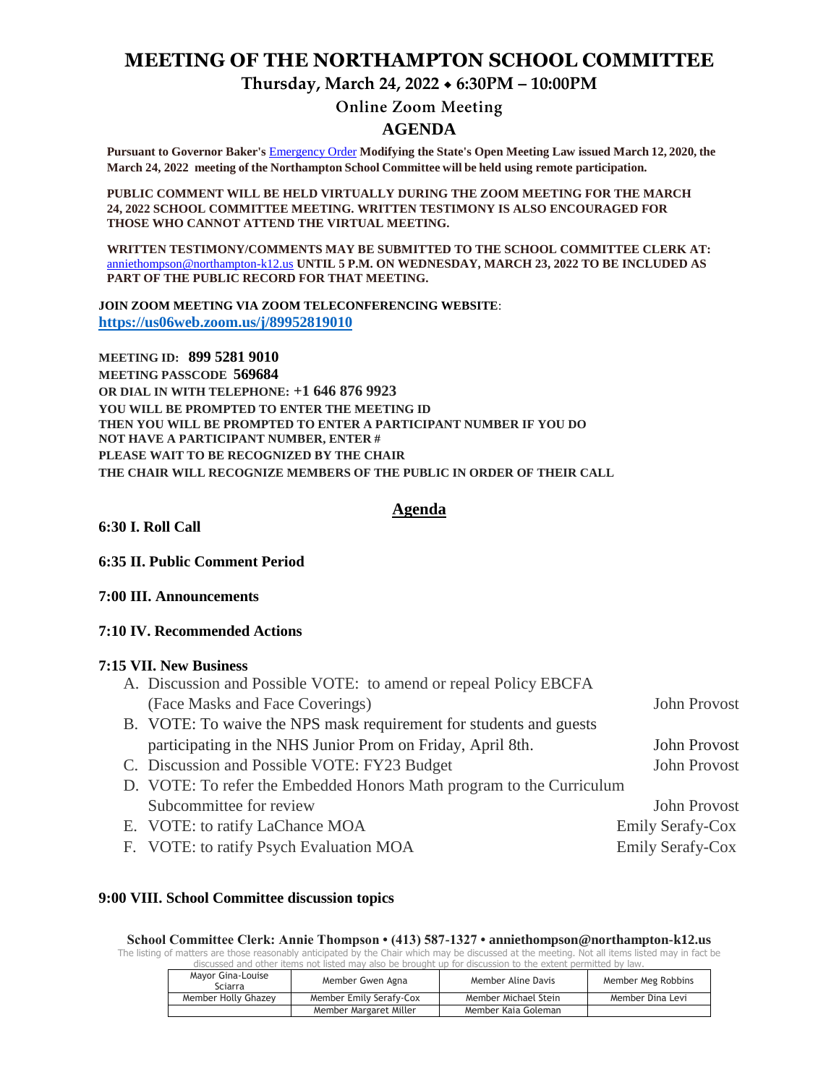# **MEETING OF THE NORTHAMPTON SCHOOL COMMITTEE**

**Thursday, March 24, 2022 6:30PM – 10:00PM**

# **Online Zoom Meeting**

# **AGENDA**

**Pursuant to Governor Baker's** [Emergency Order](about:blank) **Modifying the State's Open Meeting Law issued March 12, 2020, the March 24, 2022 meeting of the Northampton School Committee will be held using remote participation.**

**PUBLIC COMMENT WILL BE HELD VIRTUALLY DURING THE ZOOM MEETING FOR THE MARCH 24, 2022 SCHOOL COMMITTEE MEETING. WRITTEN TESTIMONY IS ALSO ENCOURAGED FOR THOSE WHO CANNOT ATTEND THE VIRTUAL MEETING.**

**WRITTEN TESTIMONY/COMMENTS MAY BE SUBMITTED TO THE SCHOOL COMMITTEE CLERK AT:** [anniethompson@northampton-k12.us](about:blank) **UNTIL 5 P.M. ON WEDNESDAY, MARCH 23, 2022 TO BE INCLUDED AS PART OF THE PUBLIC RECORD FOR THAT MEETING.**

**JOIN ZOOM MEETING VIA ZOOM TELECONFERENCING WEBSITE**: **<https://us06web.zoom.us/j/89952819010>**

**MEETING ID: 899 5281 9010 MEETING PASSCODE 569684 OR DIAL IN WITH TELEPHONE: +1 646 876 9923 YOU WILL BE PROMPTED TO ENTER THE MEETING ID THEN YOU WILL BE PROMPTED TO ENTER A PARTICIPANT NUMBER IF YOU DO NOT HAVE A PARTICIPANT NUMBER, ENTER # PLEASE WAIT TO BE RECOGNIZED BY THE CHAIR THE CHAIR WILL RECOGNIZE MEMBERS OF THE PUBLIC IN ORDER OF THEIR CALL**

# **Agenda**

**6:30 I. Roll Call** 

**6:35 II. Public Comment Period** 

**7:00 III. Announcements** 

### **7:10 IV. Recommended Actions**

### **7:15 VII. New Business**

| A. Discussion and Possible VOTE: to amend or repeal Policy EBCFA     |                         |  |
|----------------------------------------------------------------------|-------------------------|--|
| (Face Masks and Face Coverings)                                      | John Provost            |  |
| B. VOTE: To waive the NPS mask requirement for students and guests   |                         |  |
| participating in the NHS Junior Prom on Friday, April 8th.           | John Provost            |  |
| C. Discussion and Possible VOTE: FY23 Budget                         | John Provost            |  |
| D. VOTE: To refer the Embedded Honors Math program to the Curriculum |                         |  |
| Subcommittee for review                                              | John Provost            |  |
| E. VOTE: to ratify LaChance MOA                                      | Emily Serafy-Cox        |  |
| F. VOTE: to ratify Psych Evaluation MOA                              | <b>Emily Serafy-Cox</b> |  |

#### **9:00 VIII. School Committee discussion topics**

**School Committee Clerk: Annie Thompson • (413) 587-1327 • anniethompson@northampton-k12.us** The listing of matters are those reasonably anticipated by the Chair which may be discussed at the meeting. Not all items listed may in fact be discussed and other items not listed may also be brought up for discussion to the extent permitted by law.

| Mayor Gina-Louise<br>Sciarra | Member Gwen Agna        | Member Aline Davis   | Member Meg Robbins |
|------------------------------|-------------------------|----------------------|--------------------|
| Member Holly Ghazey          | Member Emily Serafy-Cox | Member Michael Stein | Member Dina Levi   |
|                              | Member Margaret Miller  | Member Kaia Goleman  |                    |